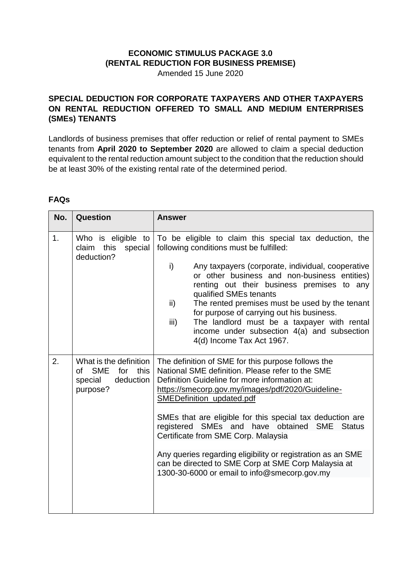## **ECONOMIC STIMULUS PACKAGE 3.0 (RENTAL REDUCTION FOR BUSINESS PREMISE)**

Amended 15 June 2020

## **SPECIAL DEDUCTION FOR CORPORATE TAXPAYERS AND OTHER TAXPAYERS ON RENTAL REDUCTION OFFERED TO SMALL AND MEDIUM ENTERPRISES (SMEs) TENANTS**

Landlords of business premises that offer reduction or relief of rental payment to SMEs tenants from **April 2020 to September 2020** are allowed to claim a special deduction equivalent to the rental reduction amount subject to the condition that the reduction should be at least 30% of the existing rental rate of the determined period.

## **FAQs**

| No. | Question                                                                                      | <b>Answer</b>                                                                                                                                                                                                                                                                                                                                                                                                                                                                                                                                                                 |
|-----|-----------------------------------------------------------------------------------------------|-------------------------------------------------------------------------------------------------------------------------------------------------------------------------------------------------------------------------------------------------------------------------------------------------------------------------------------------------------------------------------------------------------------------------------------------------------------------------------------------------------------------------------------------------------------------------------|
| 1.  | Who is eligible to<br>claim this<br>special<br>deduction?                                     | To be eligible to claim this special tax deduction, the<br>following conditions must be fulfilled:<br>i)<br>Any taxpayers (corporate, individual, cooperative<br>or other business and non-business entities)<br>renting out their business premises to any<br>qualified SMEs tenants<br>The rented premises must be used by the tenant<br>$\mathsf{ii}$<br>for purpose of carrying out his business.<br>The landlord must be a taxpayer with rental<br>iii)<br>income under subsection 4(a) and subsection<br>4(d) Income Tax Act 1967.                                      |
| 2.  | What is the definition<br><b>SME</b><br>for<br>this<br>of<br>deduction<br>special<br>purpose? | The definition of SME for this purpose follows the<br>National SME definition. Please refer to the SME<br>Definition Guideline for more information at:<br>https://smecorp.gov.my/images/pdf/2020/Guideline-<br>SMEDefinition_updated.pdf<br>SMEs that are eligible for this special tax deduction are<br>registered SMEs and have obtained SME<br><b>Status</b><br>Certificate from SME Corp. Malaysia<br>Any queries regarding eligibility or registration as an SME<br>can be directed to SME Corp at SME Corp Malaysia at<br>1300-30-6000 or email to info@smecorp.gov.my |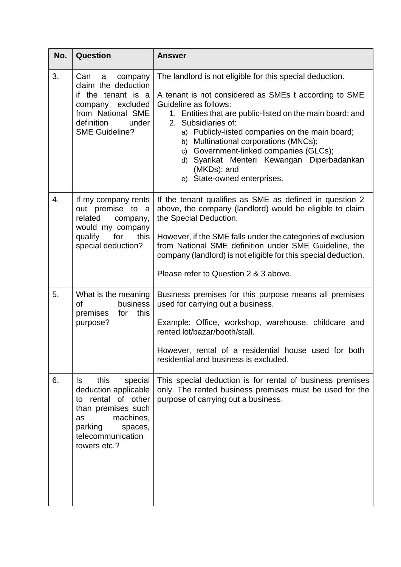| No. | <b>Question</b>                                                                                                                                                                 | <b>Answer</b>                                                                                                                                                                                                                                                                                                                                                                                                                                                    |
|-----|---------------------------------------------------------------------------------------------------------------------------------------------------------------------------------|------------------------------------------------------------------------------------------------------------------------------------------------------------------------------------------------------------------------------------------------------------------------------------------------------------------------------------------------------------------------------------------------------------------------------------------------------------------|
| 3.  | Can<br>a company<br>claim the deduction<br>if the tenant is a<br>company excluded<br>from National SME<br>definition<br>under<br><b>SME Guideline?</b>                          | The landlord is not eligible for this special deduction.<br>A tenant is not considered as SMEs t according to SME<br>Guideline as follows:<br>1. Entities that are public-listed on the main board; and<br>2. Subsidiaries of:<br>a) Publicly-listed companies on the main board;<br>b) Multinational corporations (MNCs);<br>c) Government-linked companies (GLCs);<br>d) Syarikat Menteri Kewangan Diperbadankan<br>(MKDs); and<br>e) State-owned enterprises. |
| 4.  | If my company rents<br>out premise to a<br>related company,<br>would my company<br>qualify for<br>this<br>special deduction?                                                    | If the tenant qualifies as SME as defined in question 2<br>above, the company (landlord) would be eligible to claim<br>the Special Deduction.<br>However, if the SME falls under the categories of exclusion<br>from National SME definition under SME Guideline, the<br>company (landlord) is not eligible for this special deduction.<br>Please refer to Question 2 & 3 above.                                                                                 |
| 5.  | What is the meaning<br>business<br>οf<br>premises<br>for<br>this<br>purpose?                                                                                                    | Business premises for this purpose means all premises<br>used for carrying out a business.<br>Example: Office, workshop, warehouse, childcare and<br>rented lot/bazar/booth/stall.<br>However, rental of a residential house used for both<br>residential and business is excluded.                                                                                                                                                                              |
| 6.  | this<br>special<br>ls.<br>deduction applicable<br>to rental of other<br>than premises such<br>machines,<br><b>as</b><br>parking<br>spaces,<br>telecommunication<br>towers etc.? | This special deduction is for rental of business premises<br>only. The rented business premises must be used for the<br>purpose of carrying out a business.                                                                                                                                                                                                                                                                                                      |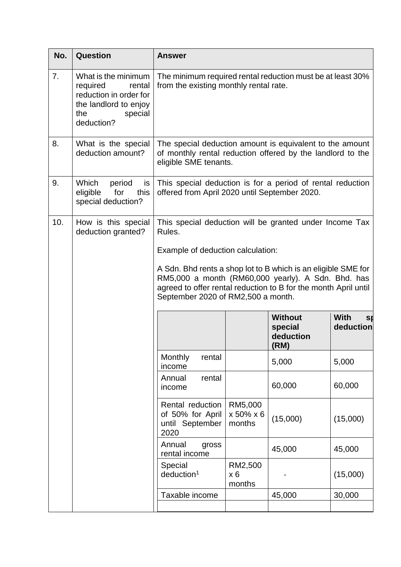| No. | Question                                                                                                                     | <b>Answer</b>                                                                                                                                                                                                                |                                                                                                                                                 |                                                |                                      |  |  |  |  |  |  |  |  |  |  |
|-----|------------------------------------------------------------------------------------------------------------------------------|------------------------------------------------------------------------------------------------------------------------------------------------------------------------------------------------------------------------------|-------------------------------------------------------------------------------------------------------------------------------------------------|------------------------------------------------|--------------------------------------|--|--|--|--|--|--|--|--|--|--|
| 7.  | What is the minimum<br>required<br>rental<br>reduction in order for<br>the landlord to enjoy<br>the<br>special<br>deduction? | The minimum required rental reduction must be at least 30%<br>from the existing monthly rental rate.                                                                                                                         |                                                                                                                                                 |                                                |                                      |  |  |  |  |  |  |  |  |  |  |
| 8.  | What is the special<br>deduction amount?                                                                                     |                                                                                                                                                                                                                              | The special deduction amount is equivalent to the amount<br>of monthly rental reduction offered by the landlord to the<br>eligible SME tenants. |                                                |                                      |  |  |  |  |  |  |  |  |  |  |
| 9.  | Which<br>period<br>is<br>for<br>this<br>eligible<br>special deduction?                                                       | This special deduction is for a period of rental reduction<br>offered from April 2020 until September 2020.                                                                                                                  |                                                                                                                                                 |                                                |                                      |  |  |  |  |  |  |  |  |  |  |
| 10. | How is this special<br>deduction granted?                                                                                    | This special deduction will be granted under Income Tax<br>Rules.<br>Example of deduction calculation:                                                                                                                       |                                                                                                                                                 |                                                |                                      |  |  |  |  |  |  |  |  |  |  |
|     |                                                                                                                              | A Sdn. Bhd rents a shop lot to B which is an eligible SME for<br>RM5,000 a month (RM60,000 yearly). A Sdn. Bhd. has<br>agreed to offer rental reduction to B for the month April until<br>September 2020 of RM2,500 a month. |                                                                                                                                                 |                                                |                                      |  |  |  |  |  |  |  |  |  |  |
|     |                                                                                                                              |                                                                                                                                                                                                                              |                                                                                                                                                 | <b>Without</b><br>special<br>deduction<br>(RM) | <b>With</b><br><b>s</b><br>deduction |  |  |  |  |  |  |  |  |  |  |
|     |                                                                                                                              | Monthly<br>rental<br>income                                                                                                                                                                                                  |                                                                                                                                                 | 5,000                                          | 5,000                                |  |  |  |  |  |  |  |  |  |  |
|     |                                                                                                                              | Annual<br>rental<br>income                                                                                                                                                                                                   |                                                                                                                                                 | 60,000                                         | 60,000                               |  |  |  |  |  |  |  |  |  |  |
|     |                                                                                                                              | Rental reduction<br>of 50% for April<br>until September<br>2020                                                                                                                                                              | RM5,000<br>x 50% x 6<br>months                                                                                                                  | (15,000)                                       | (15,000)                             |  |  |  |  |  |  |  |  |  |  |
|     |                                                                                                                              | Annual<br>gross<br>rental income                                                                                                                                                                                             |                                                                                                                                                 | 45,000                                         | 45,000                               |  |  |  |  |  |  |  |  |  |  |
|     |                                                                                                                              | Special<br>deduction <sup>1</sup>                                                                                                                                                                                            | RM2,500<br>$x_6$<br>months                                                                                                                      |                                                | (15,000)                             |  |  |  |  |  |  |  |  |  |  |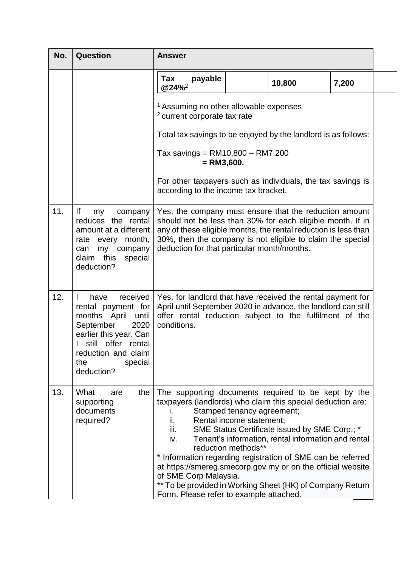| No. | Question                                                                                                                                                                                      | <b>Answer</b>                                                                                                                                                                                                                                                                                                                                                                                                 |                                                                                                                                                                                                                                                                                                      |                                                                                                      |       |  |  |  |  |  |  |  |  |  |
|-----|-----------------------------------------------------------------------------------------------------------------------------------------------------------------------------------------------|---------------------------------------------------------------------------------------------------------------------------------------------------------------------------------------------------------------------------------------------------------------------------------------------------------------------------------------------------------------------------------------------------------------|------------------------------------------------------------------------------------------------------------------------------------------------------------------------------------------------------------------------------------------------------------------------------------------------------|------------------------------------------------------------------------------------------------------|-------|--|--|--|--|--|--|--|--|--|
|     |                                                                                                                                                                                               | payable<br>Tax<br>@24%2                                                                                                                                                                                                                                                                                                                                                                                       |                                                                                                                                                                                                                                                                                                      | 10,800                                                                                               | 7,200 |  |  |  |  |  |  |  |  |  |
|     |                                                                                                                                                                                               | <sup>1</sup> Assuming no other allowable expenses<br><sup>2</sup> current corporate tax rate                                                                                                                                                                                                                                                                                                                  |                                                                                                                                                                                                                                                                                                      |                                                                                                      |       |  |  |  |  |  |  |  |  |  |
|     |                                                                                                                                                                                               | Total tax savings to be enjoyed by the landlord is as follows:                                                                                                                                                                                                                                                                                                                                                |                                                                                                                                                                                                                                                                                                      |                                                                                                      |       |  |  |  |  |  |  |  |  |  |
|     |                                                                                                                                                                                               | Tax savings = $RM10,800 - RM7,200$<br>$=$ RM3,600.                                                                                                                                                                                                                                                                                                                                                            |                                                                                                                                                                                                                                                                                                      |                                                                                                      |       |  |  |  |  |  |  |  |  |  |
|     |                                                                                                                                                                                               | For other taxpayers such as individuals, the tax savings is<br>according to the income tax bracket.                                                                                                                                                                                                                                                                                                           |                                                                                                                                                                                                                                                                                                      |                                                                                                      |       |  |  |  |  |  |  |  |  |  |
| 11. | lf<br>my<br>company<br>reduces the rental<br>amount at a different<br>rate every month,<br>my company<br>can<br>claim this<br>special<br>deduction?                                           |                                                                                                                                                                                                                                                                                                                                                                                                               | Yes, the company must ensure that the reduction amount<br>should not be less than 30% for each eligible month. If in<br>any of these eligible months, the rental reduction is less than<br>30%, then the company is not eligible to claim the special<br>deduction for that particular month/months. |                                                                                                      |       |  |  |  |  |  |  |  |  |  |
| 12. | received<br>L<br>have<br>rental payment for<br>months April until<br>September<br>2020<br>earlier this year. Can<br>still offer rental<br>reduction and claim<br>the<br>special<br>deduction? | Yes, for landlord that have received the rental payment for<br>April until September 2020 in advance, the landlord can still<br>offer rental reduction subject to the fulfilment of the<br>conditions.                                                                                                                                                                                                        |                                                                                                                                                                                                                                                                                                      |                                                                                                      |       |  |  |  |  |  |  |  |  |  |
| 13. | What<br>the<br>are<br>supporting<br>documents<br>required?                                                                                                                                    | The supporting documents required to be kept by the<br>taxpayers (landlords) who claim this special deduction are:<br>L.<br>ii.<br>iii.<br>iv.<br>* Information regarding registration of SME can be referred<br>at https://smereg.smecorp.gov.my or on the official website<br>of SME Corp Malaysia.<br>** To be provided in Working Sheet (HK) of Company Return<br>Form. Please refer to example attached. | Stamped tenancy agreement;<br>Rental income statement;<br>reduction methods**                                                                                                                                                                                                                        | SME Status Certificate issued by SME Corp.; *<br>Tenant's information, rental information and rental |       |  |  |  |  |  |  |  |  |  |